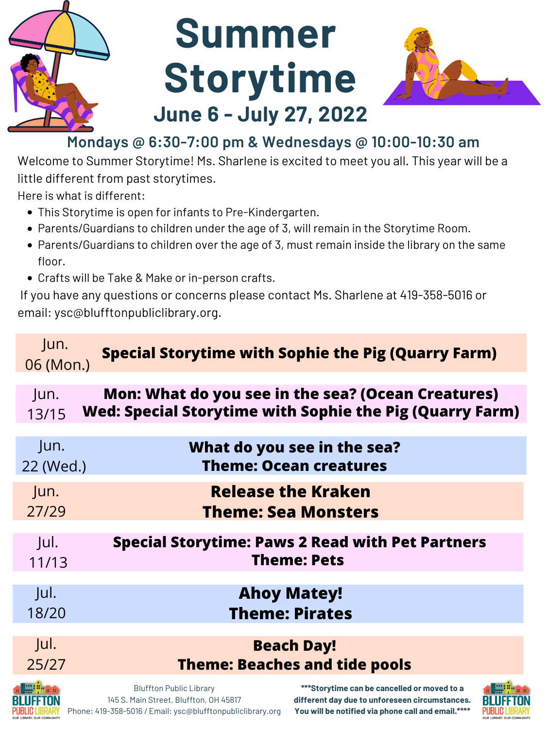- This Storytime is open for infants to Pre-Kindergarten.
- Parents/Guardians to children under the age of 3, will remain in the Storytime Room.
- Parents/Guardians to children over the age of 3, must remain inside the library on the same floor.
- Crafts will be Take & Make or in-person crafts.

Welcome to Summer Storytime! Ms. Sharlene is excited to meet you all. This year will be a little different from past storytimes.

Here is what is different:

If you have any questions or concerns please contact Ms. Sharlene at 419-358-5016 or email: ysc@blufftonpubliclibrary.org.



# **Summer Storytime June 6 - July 27, 2022**



145 S. Main Street, Bluffton, OH 45817 Phone: 419-358-5016 / Email: ysc@blufftonpubliclibrary.org

## **Mondays @ 6:30-7:00 pm & Wednesdays @ 10:00-10:30 am**

#### Jun. 06 (Mon.) **Special Storytime with Sophie the Pig (Quarry Farm)**

**different day due to unforeseen circumstances. You will be notified via phone call and email.\*\*\*\***



| Jun.<br>13/15             |                                | Mon: What do you see in the sea? (Ocean Creatures)<br><b>Wed: Special Storytime with Sophie the Pig (Quarry Farm)</b> |  |
|---------------------------|--------------------------------|-----------------------------------------------------------------------------------------------------------------------|--|
| Jun.<br>22 (Wed.)         |                                | What do you see in the sea?<br><b>Theme: Ocean creatures</b>                                                          |  |
| Jun.<br>27/29             |                                | <b>Release the Kraken</b><br><b>Theme: Sea Monsters</b>                                                               |  |
| Jul.<br>11/13             |                                | <b>Special Storytime: Paws 2 Read with Pet Partners</b><br><b>Theme: Pets</b>                                         |  |
| Jul.<br>18/20             |                                | <b>Ahoy Matey!</b><br><b>Theme: Pirates</b>                                                                           |  |
| Jul.<br>25/27             |                                | <b>Beach Day!</b><br><b>Theme: Beaches and tide pools</b>                                                             |  |
| a <sup>gang</sup> "" na a | <b>Bluffton Public Library</b> | ***Storytime can be cancelled or moved to a                                                                           |  |